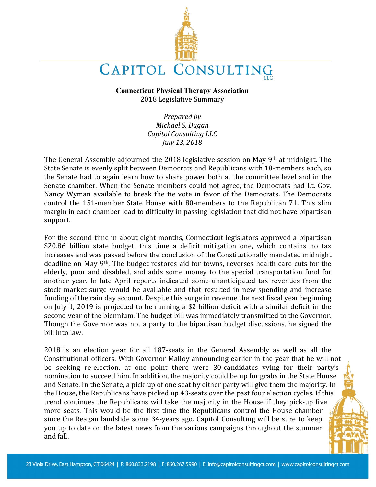

# CAPITOL CONSULTING

**Connecticut Physical Therapy Association** 2018 Legislative Summary

> *Prepared by Michael S. Dugan Capitol Consulting LLC July 13, 2018*

The General Assembly adjourned the 2018 legislative session on May  $9<sup>th</sup>$  at midnight. The State Senate is evenly split between Democrats and Republicans with 18-members each, so the Senate had to again learn how to share power both at the committee level and in the Senate chamber. When the Senate members could not agree, the Democrats had Lt. Gov. Nancy Wyman available to break the tie vote in favor of the Democrats. The Democrats control the 151-member State House with 80-members to the Republican 71. This slim margin in each chamber lead to difficulty in passing legislation that did not have bipartisan support.

For the second time in about eight months, Connecticut legislators approved a bipartisan \$20.86 billion state budget, this time a deficit mitigation one, which contains no tax increases and was passed before the conclusion of the Constitutionally mandated midnight deadline on May 9<sup>th</sup>. The budget restores aid for towns, reverses health care cuts for the elderly, poor and disabled, and adds some money to the special transportation fund for another year. In late April reports indicated some unanticipated tax revenues from the stock market surge would be available and that resulted in new spending and increase funding of the rain day account. Despite this surge in revenue the next fiscal year beginning on July 1, 2019 is projected to be running a \$2 billion deficit with a similar deficit in the second year of the biennium. The budget bill was immediately transmitted to the Governor. Though the Governor was not a party to the bipartisan budget discussions, he signed the bill into law.

2018 is an election year for all 187-seats in the General Assembly as well as all the Constitutional officers. With Governor Malloy announcing earlier in the year that he will not be seeking re-election, at one point there were 30-candidates vying for their party's nomination to succeed him. In addition, the majority could be up for grabs in the State House and Senate. In the Senate, a pick-up of one seat by either party will give them the majority. In the House, the Republicans have picked up 43-seats over the past four election cycles. If this trend continues the Republicans will take the majority in the House if they pick-up five more seats. This would be the first time the Republicans control the House chamber since the Reagan landslide some 34-years ago. Capitol Consulting will be sure to keep you up to date on the latest news from the various campaigns throughout the summer and fall.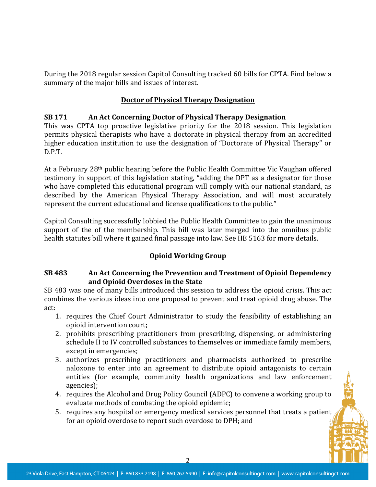During the 2018 regular session Capitol Consulting tracked 60 bills for CPTA. Find below a summary of the major bills and issues of interest.

# **Doctor of Physical Therapy Designation**

#### **SB 171** An Act Concerning Doctor of Physical Therapy Designation

This was CPTA top proactive legislative priority for the 2018 session. This legislation permits physical therapists who have a doctorate in physical therapy from an accredited higher education institution to use the designation of "Doctorate of Physical Therapy" or D.P.T.

At a February 28<sup>th</sup> public hearing before the Public Health Committee Vic Vaughan offered testimony in support of this legislation stating, "adding the DPT as a designator for those who have completed this educational program will comply with our national standard, as described by the American Physical Therapy Association, and will most accurately represent the current educational and license qualifications to the public."

Capitol Consulting successfully lobbied the Public Health Committee to gain the unanimous support of the of the membership. This bill was later merged into the omnibus public health statutes bill where it gained final passage into law. See HB 5163 for more details.

### **Opioid Working Group**

### **SB 483** An Act Concerning the Prevention and Treatment of Opioid Dependency and Opioid Overdoses in the State

SB 483 was one of many bills introduced this session to address the opioid crisis. This act combines the various ideas into one proposal to prevent and treat opioid drug abuse. The act:

- 1. requires the Chief Court Administrator to study the feasibility of establishing an opioid intervention court;
- 2. prohibits prescribing practitioners from prescribing, dispensing, or administering schedule II to IV controlled substances to themselves or immediate family members, except in emergencies;
- 3. authorizes prescribing practitioners and pharmacists authorized to prescribe naloxone to enter into an agreement to distribute opioid antagonists to certain entities (for example, community health organizations and law enforcement agencies);
- 4. requires the Alcohol and Drug Policy Council (ADPC) to convene a working group to evaluate methods of combating the opioid epidemic;
- 5. requires any hospital or emergency medical services personnel that treats a patient for an opioid overdose to report such overdose to DPH; and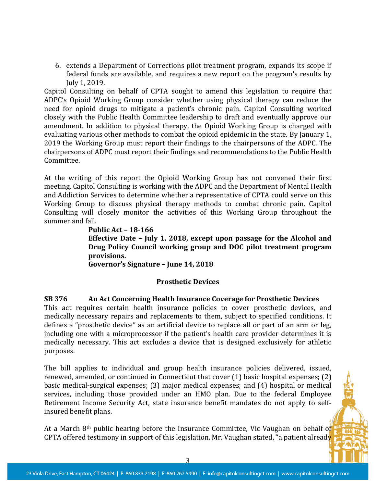6. extends a Department of Corrections pilot treatment program, expands its scope if federal funds are available, and requires a new report on the program's results by July 1, 2019.

Capitol Consulting on behalf of CPTA sought to amend this legislation to require that ADPC's Opioid Working Group consider whether using physical therapy can reduce the need for opioid drugs to mitigate a patient's chronic pain. Capitol Consulting worked closely with the Public Health Committee leadership to draft and eventually approve our amendment. In addition to physical therapy, the Opioid Working Group is charged with evaluating various other methods to combat the opioid epidemic in the state. By January 1, 2019 the Working Group must report their findings to the chairpersons of the ADPC. The chairpersons of ADPC must report their findings and recommendations to the Public Health Committee.

At the writing of this report the Opioid Working Group has not convened their first meeting. Capitol Consulting is working with the ADPC and the Department of Mental Health and Addiction Services to determine whether a representative of CPTA could serve on this Working Group to discuss physical therapy methods to combat chronic pain. Capitol Consulting will closely monitor the activities of this Working Group throughout the summer and fall.

**Public Act – 18-166 Effective Date - July 1, 2018, except upon passage for the Alcohol and Drug Policy Council working group and DOC pilot treatment program provisions.** Governor's Signature - June 14, 2018

#### **Prosthetic Devices**

### **SB** 376 An Act Concerning Health Insurance Coverage for Prosthetic Devices

This act requires certain health insurance policies to cover prosthetic devices, and medically necessary repairs and replacements to them, subject to specified conditions. It defines a "prosthetic device" as an artificial device to replace all or part of an arm or leg, including one with a microprocessor if the patient's health care provider determines it is medically necessary. This act excludes a device that is designed exclusively for athletic purposes.

The bill applies to individual and group health insurance policies delivered, issued, renewed, amended, or continued in Connecticut that cover  $(1)$  basic hospital expenses;  $(2)$ basic medical-surgical expenses; (3) major medical expenses; and (4) hospital or medical services, including those provided under an HMO plan. Due to the federal Employee Retirement Income Security Act, state insurance benefit mandates do not apply to selfinsured benefit plans.

At a March  $8<sup>th</sup>$  public hearing before the Insurance Committee, Vic Vaughan on behalf of CPTA offered testimony in support of this legislation. Mr. Vaughan stated, "a patient already

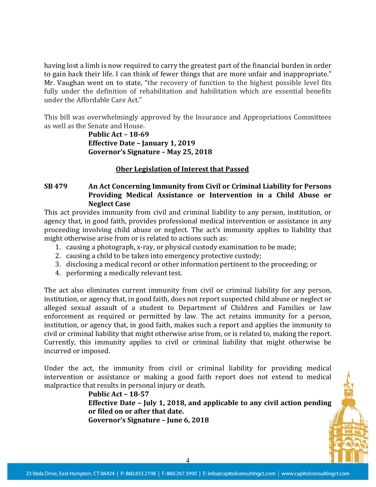having lost a limb is now required to carry the greatest part of the financial burden in order to gain back their life. I can think of fewer things that are more unfair and inappropriate." Mr. Vaughan went on to state, "the recovery of function to the highest possible level fits fully under the definition of rehabilitation and habilitation which are essential benefits under the Affordable Care Act."

This bill was overwhelmingly approved by the Insurance and Appropriations Committees as well as the Senate and House.

> **Public Act – 18-69 Effective Date - January 1, 2019 Governor's Signature – May 25, 2018**

#### **Oher Legislation of Interest that Passed**

### **SB 479** An Act Concerning Immunity from Civil or Criminal Liability for Persons Providing Medical Assistance or Intervention in a Child Abuse or **Neglect Case**

This act provides immunity from civil and criminal liability to any person, institution, or agency that, in good faith, provides professional medical intervention or assistance in any proceeding involving child abuse or neglect. The act's immunity applies to liability that might otherwise arise from or is related to actions such as:

- 1. causing a photograph, x-ray, or physical custody examination to be made;
- 2. causing a child to be taken into emergency protective custody;
- 3. disclosing a medical record or other information pertinent to the proceeding; or
- 4. performing a medically relevant test.

The act also eliminates current immunity from civil or criminal liability for any person, institution, or agency that, in good faith, does not report suspected child abuse or neglect or alleged sexual assault of a student to Department of Children and Families or law enforcement as required or permitted by law. The act retains immunity for a person, institution, or agency that, in good faith, makes such a report and applies the immunity to civil or criminal liability that might otherwise arise from, or is related to, making the report. Currently, this immunity applies to civil or criminal liability that might otherwise be incurred or imposed.

Under the act, the immunity from civil or criminal liability for providing medical intervention or assistance or making a good faith report does not extend to medical malpractice that results in personal injury or death.

> **Public Act – 18-57 Effective Date - July 1, 2018, and applicable to any civil action pending or filed on or after that date. Governor's Signature – June 6, 2018**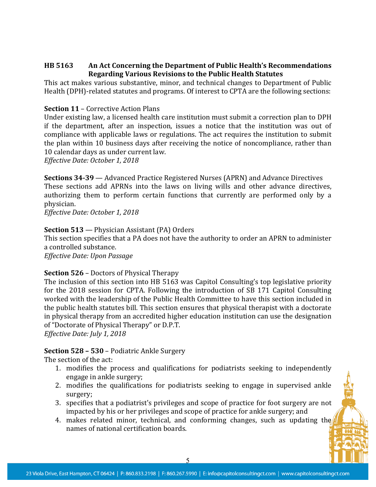## **HB 5163 An Act Concerning the Department of Public Health's Recommendations Regarding Various Revisions to the Public Health Statutes**

This act makes various substantive, minor, and technical changes to Department of Public Health (DPH)-related statutes and programs. Of interest to CPTA are the following sections:

## **Section 11 - Corrective Action Plans**

Under existing law, a licensed health care institution must submit a correction plan to DPH if the department, after an inspection, issues a notice that the institution was out of compliance with applicable laws or regulations. The act requires the institution to submit the plan within 10 business days after receiving the notice of noncompliance, rather than 10 calendar days as under current law.

*Effective Date: October 1, 2018*

**Sections 34-39** — Advanced Practice Registered Nurses (APRN) and Advance Directives These sections add APRNs into the laws on living wills and other advance directives, authorizing them to perform certain functions that currently are performed only by a physician.

*Effective Date: October 1, 2018*

### **Section 513** — Physician Assistant (PA) Orders

This section specifies that a PA does not have the authority to order an APRN to administer a controlled substance.

*Effective Date: Upon Passage*

### **Section 526** – Doctors of Physical Therapy

The inclusion of this section into HB 5163 was Capitol Consulting's top legislative priority for the 2018 session for CPTA. Following the introduction of SB 171 Capitol Consulting worked with the leadership of the Public Health Committee to have this section included in the public health statutes bill. This section ensures that physical therapist with a doctorate in physical therapy from an accredited higher education institution can use the designation of "Doctorate of Physical Therapy" or D.P.T.

*Effective Date: July 1, 2018* 

# **Section 528 - 530 - Podiatric Ankle Surgery**

The section of the act:

- 1. modifies the process and qualifications for podiatrists seeking to independently engage in ankle surgery;
- 2. modifies the qualifications for podiatrists seeking to engage in supervised ankle surgery;
- 3. specifies that a podiatrist's privileges and scope of practice for foot surgery are not impacted by his or her privileges and scope of practice for ankle surgery; and
- 4. makes related minor, technical, and conforming changes, such as updating the names of national certification boards.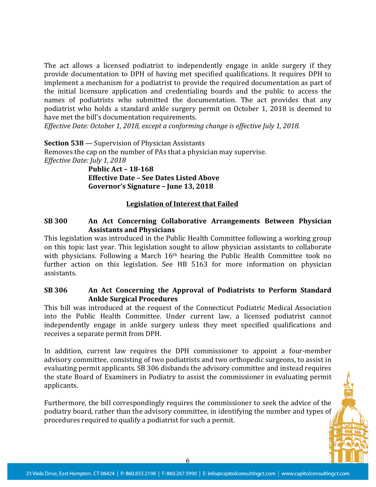The act allows a licensed podiatrist to independently engage in ankle surgery if they provide documentation to DPH of having met specified qualifications. It requires DPH to implement a mechanism for a podiatrist to provide the required documentation as part of the initial licensure application and credentialing boards and the public to access the names of podiatrists who submitted the documentation. The act provides that any podiatrist who holds a standard ankle surgery permit on October 1, 2018 is deemed to have met the bill's documentation requirements.

*Effective Date: October 1, 2018, except a conforming change is effective July 1, 2018.* 

**Section 538** — Supervision of Physician Assistants Removes the cap on the number of PAs that a physician may supervise. *Effective Date: July 1, 2018* **Public Act – 18-168**

**Effective Date - See Dates Listed Above** Governor's Signature - June 13, 2018

#### Legislation of Interest that Failed

#### **SB** 300 **An** Act Concerning Collaborative Arrangements Between Physician **Assistants and Physicians**

This legislation was introduced in the Public Health Committee following a working group on this topic last year. This legislation sought to allow physician assistants to collaborate with physicians. Following a March  $16<sup>th</sup>$  hearing the Public Health Committee took no further action on this legislation. See HB 5163 for more information on physician assistants.

#### **SB 306** An Act Concerning the Approval of Podiatrists to Perform Standard **Ankle Surgical Procedures**

This bill was introduced at the request of the Connecticut Podiatric Medical Association into the Public Health Committee. Under current law, a licensed podiatrist cannot independently engage in ankle surgery unless they meet specified qualifications and receives a separate permit from DPH.

In addition, current law requires the DPH commissioner to appoint a four-member advisory committee, consisting of two podiatrists and two orthopedic surgeons, to assist in evaluating permit applicants. SB 306 disbands the advisory committee and instead requires the state Board of Examiners in Podiatry to assist the commissioner in evaluating permit applicants.

Furthermore, the bill correspondingly requires the commissioner to seek the advice of the podiatry board, rather than the advisory committee, in identifying the number and types of procedures required to qualify a podiatrist for such a permit.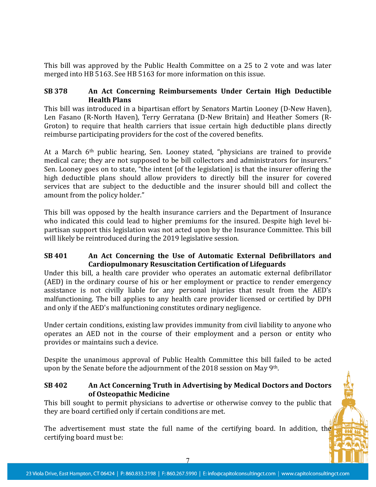This bill was approved by the Public Health Committee on a 25 to 2 vote and was later merged into HB 5163. See HB 5163 for more information on this issue.

## **SB** 378 An Act Concerning Reimbursements Under Certain High Deductible **Health Plans**

This bill was introduced in a bipartisan effort by Senators Martin Looney (D-New Haven), Len Fasano (R-North Haven), Terry Gerratana (D-New Britain) and Heather Somers (R-Groton) to require that health carriers that issue certain high deductible plans directly reimburse participating providers for the cost of the covered benefits.

At a March 6<sup>th</sup> public hearing, Sen. Looney stated, "physicians are trained to provide medical care; they are not supposed to be bill collectors and administrators for insurers." Sen. Looney goes on to state, "the intent [of the legislation] is that the insurer offering the high deductible plans should allow providers to directly bill the insurer for covered services that are subject to the deductible and the insurer should bill and collect the amount from the policy holder."

This bill was opposed by the health insurance carriers and the Department of Insurance who indicated this could lead to higher premiums for the insured. Despite high level bipartisan support this legislation was not acted upon by the Insurance Committee. This bill will likely be reintroduced during the 2019 legislative session.

## **SB 401 An Act Concerning the Use of Automatic External Defibrillators and Cardiopulmonary Resuscitation Certification of Lifeguards**

Under this bill, a health care provider who operates an automatic external defibrillator (AED) in the ordinary course of his or her employment or practice to render emergency assistance is not civilly liable for any personal injuries that result from the AED's malfunctioning. The bill applies to any health care provider licensed or certified by DPH and only if the AED's malfunctioning constitutes ordinary negligence.

Under certain conditions, existing law provides immunity from civil liability to anyone who operates an AED not in the course of their employment and a person or entity who provides or maintains such a device.

Despite the unanimous approval of Public Health Committee this bill failed to be acted upon by the Senate before the adjournment of the 2018 session on May 9th.

### **SB 402 An Act Concerning Truth in Advertising by Medical Doctors and Doctors of Osteopathic Medicine**

This bill sought to permit physicians to advertise or otherwise convey to the public that they are board certified only if certain conditions are met.

The advertisement must state the full name of the certifying board. In addition, the certifying board must be:

7